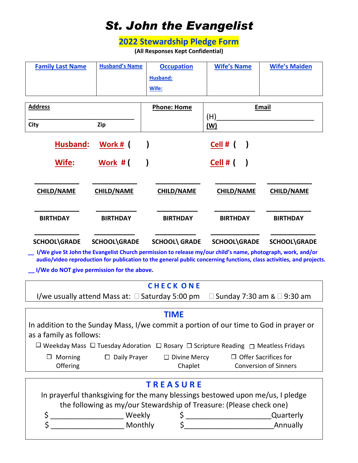## *St. John the Evangelist*

## **2022 Stewardship Pledge Form**

**(All Responses Kept Confidential)**

| <b>Family Last Name</b> | <b>Husband's Name</b> | <b>Occupation</b> | <b>Wife's Name</b> | <b>Wife's Maiden</b> |
|-------------------------|-----------------------|-------------------|--------------------|----------------------|
|                         |                       | Husband:          |                    |                      |
|                         |                       | Wife:             |                    |                      |

| <b>Address</b>    |                     | <b>Phone: Home</b>   | <b>Email</b>      |                   |
|-------------------|---------------------|----------------------|-------------------|-------------------|
|                   |                     |                      | (H)               |                   |
| City              | Zip                 |                      | ( <b>W</b> )      |                   |
| Husband:          | Work # (            |                      | Cell # $($        |                   |
| Wife:             | Work #              |                      | Cell #            |                   |
| <b>CHILD/NAME</b> | <b>CHILD/NAME</b>   | <b>CHILD/NAME</b>    | <b>CHILD/NAME</b> | <b>CHILD/NAME</b> |
| <b>BIRTHDAY</b>   | <b>BIRTHDAY</b>     | <b>BIRTHDAY</b>      | <b>BIRTHDAY</b>   | <b>BIRTHDAY</b>   |
| SCHOOL\GRADE      | <b>SCHOOL\GRADE</b> | <b>SCHOOL\ GRADE</b> | SCHOOL\GRADE      | SCHOOL\GRADE      |

 **\_\_ I/We give St John the Evangelist Church permission to release my/our child's name, photograph, work, and/or audio/vIdeo reproduction for publication to the general public concerning functions, class activities, and projects.**

 **\_\_ I/We do NOT give permission for the above.** 

## **C H E C K O N E**

I/we usually attend Mass at:  $\Box$  Saturday 5:00 pm  $\Box$  Sunday 7:30 am &  $\Box$  9:30 am

| <b>TIME</b>                                                                                                 |                     |         |                                                 |  |  |
|-------------------------------------------------------------------------------------------------------------|---------------------|---------|-------------------------------------------------|--|--|
| In addition to the Sunday Mass, I/we commit a portion of our time to God in prayer or                       |                     |         |                                                 |  |  |
| as a family as follows:                                                                                     |                     |         |                                                 |  |  |
| $\Box$ Weekday Mass $\Box$ Tuesday Adoration $\Box$ Rosary $\Box$ Scripture Reading $\Box$ Meatless Fridays |                     |         |                                                 |  |  |
| Morning                                                                                                     | $\Box$ Daily Prayer |         | $\Box$ Divine Mercy $\Box$ Offer Sacrifices for |  |  |
| Offering                                                                                                    |                     | Chaplet | <b>Conversion of Sinners</b>                    |  |  |
|                                                                                                             |                     |         |                                                 |  |  |
| <b>TREASURE</b>                                                                                             |                     |         |                                                 |  |  |
| In prayerful thanksgiving for the many blessings bestowed upon me/us, I pledge                              |                     |         |                                                 |  |  |
| the following as my/our Stewardship of Treasure: (Please check one)                                         |                     |         |                                                 |  |  |
| \$                                                                                                          | Weekly              |         | Quarterly                                       |  |  |
|                                                                                                             | Monthly             |         | Annually                                        |  |  |
|                                                                                                             |                     |         |                                                 |  |  |